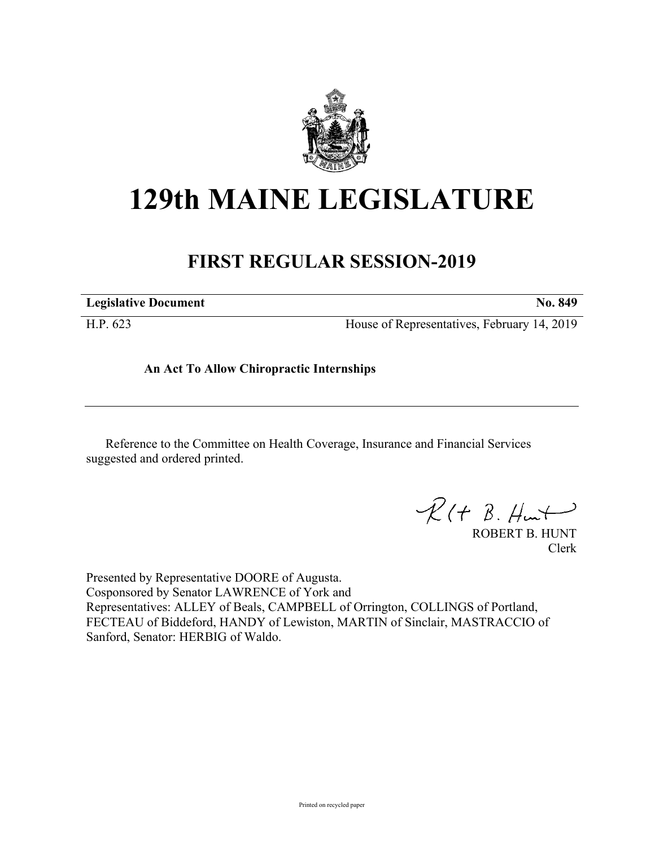

# **129th MAINE LEGISLATURE**

## **FIRST REGULAR SESSION-2019**

| <b>Legislative Document</b> | No. 849                                     |
|-----------------------------|---------------------------------------------|
| H.P. 623                    | House of Representatives, February 14, 2019 |

**An Act To Allow Chiropractic Internships**

Reference to the Committee on Health Coverage, Insurance and Financial Services suggested and ordered printed.

 $R(H B. H<sup>u</sup>)$ 

ROBERT B. HUNT Clerk

Presented by Representative DOORE of Augusta. Cosponsored by Senator LAWRENCE of York and Representatives: ALLEY of Beals, CAMPBELL of Orrington, COLLINGS of Portland, FECTEAU of Biddeford, HANDY of Lewiston, MARTIN of Sinclair, MASTRACCIO of Sanford, Senator: HERBIG of Waldo.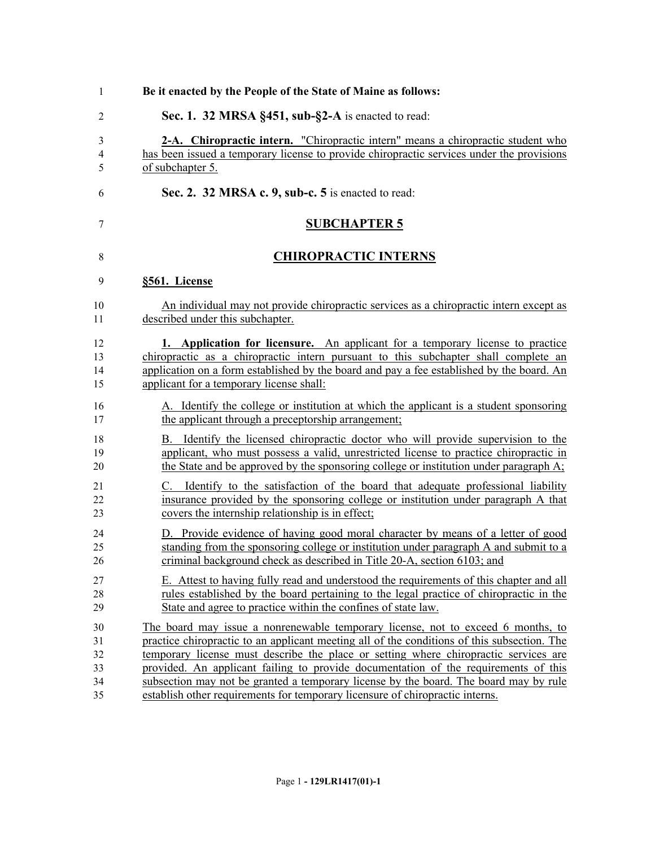| $\mathbf{1}$ | Be it enacted by the People of the State of Maine as follows:                               |
|--------------|---------------------------------------------------------------------------------------------|
| 2            | Sec. 1. 32 MRSA §451, sub-§2-A is enacted to read:                                          |
| 3            | 2-A. Chiropractic intern. "Chiropractic intern" means a chiropractic student who            |
| 4            | has been issued a temporary license to provide chiropractic services under the provisions   |
| 5            | of subchapter 5.                                                                            |
| 6            | Sec. 2. 32 MRSA c. 9, sub-c. 5 is enacted to read:                                          |
| 7            | <b>SUBCHAPTER 5</b>                                                                         |
| 8            | <b>CHIROPRACTIC INTERNS</b>                                                                 |
| 9            | §561. License                                                                               |
| 10           | An individual may not provide chiropractic services as a chiropractic intern except as      |
| 11           | described under this subchapter.                                                            |
| 12           | 1. Application for licensure. An applicant for a temporary license to practice              |
| 13           | chiropractic as a chiropractic intern pursuant to this subchapter shall complete an         |
| 14           | application on a form established by the board and pay a fee established by the board. An   |
| 15           | applicant for a temporary license shall:                                                    |
| 16           | A. Identify the college or institution at which the applicant is a student sponsoring       |
| 17           | the applicant through a preceptorship arrangement;                                          |
| 18           | B. Identify the licensed chiropractic doctor who will provide supervision to the            |
| 19           | applicant, who must possess a valid, unrestricted license to practice chiropractic in       |
| 20           | the State and be approved by the sponsoring college or institution under paragraph $A$ ;    |
| 21           | C. Identify to the satisfaction of the board that adequate professional liability           |
| 22           | insurance provided by the sponsoring college or institution under paragraph A that          |
| 23           | covers the internship relationship is in effect;                                            |
| 24           | D. Provide evidence of having good moral character by means of a letter of good             |
| 25           | standing from the sponsoring college or institution under paragraph A and submit to a       |
| 26           | criminal background check as described in Title 20-A, section 6103; and                     |
| 27           | E. Attest to having fully read and understood the requirements of this chapter and all      |
| 28           | rules established by the board pertaining to the legal practice of chiropractic in the      |
| 29           | State and agree to practice within the confines of state law.                               |
| 30           | The board may issue a nonrenewable temporary license, not to exceed 6 months, to            |
| 31           | practice chiropractic to an applicant meeting all of the conditions of this subsection. The |
| 32           | temporary license must describe the place or setting where chiropractic services are        |
| 33           | provided. An applicant failing to provide documentation of the requirements of this         |
| 34           | subsection may not be granted a temporary license by the board. The board may by rule       |
| 35           | establish other requirements for temporary licensure of chiropractic interns.               |